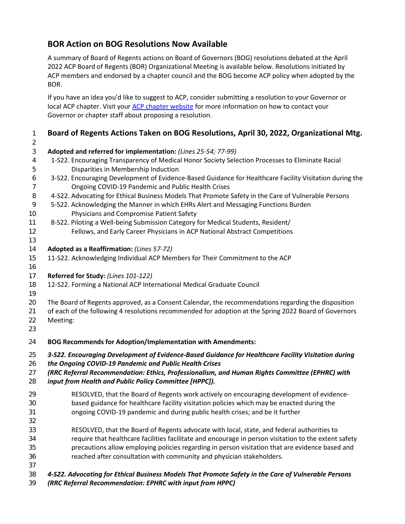# **BOR Action on BOG Resolutions Now Available**

A summary of Board of Regents actions on Board of Governors (BOG) resolutions debated at the April ACP Board of Regents (BOR) Organizational Meeting is available below. Resolutions initiated by ACP members and endorsed by a chapter council and the BOG become ACP policy when adopted by the BOR.

If you have an idea you'd like to suggest to ACP, consider submitting a resolution to your Governor or local ACP chapter. Visit your [ACP chapter website](https://www.acponline.org/about-acp/chapters-regions) for more information on how to contact your Governor or chapter staff about proposing a resolution.

| 1              | Board of Regents Actions Taken on BOG Resolutions, April 30, 2022, Organizational Mtg.                                                                                                                       |
|----------------|--------------------------------------------------------------------------------------------------------------------------------------------------------------------------------------------------------------|
| $\overline{2}$ |                                                                                                                                                                                                              |
| 3              | Adopted and referred for implementation: (Lines 25-54; 77-99)                                                                                                                                                |
| 4              | 1-S22. Encouraging Transparency of Medical Honor Society Selection Processes to Eliminate Racial                                                                                                             |
| 5              | Disparities in Membership Induction                                                                                                                                                                          |
| 6              | 3-S22. Encouraging Development of Evidence-Based Guidance for Healthcare Facility Visitation during the                                                                                                      |
| 7              | Ongoing COVID-19 Pandemic and Public Health Crises                                                                                                                                                           |
| 8              | 4-S22. Advocating for Ethical Business Models That Promote Safety in the Care of Vulnerable Persons                                                                                                          |
| 9              | 5-S22. Acknowledging the Manner in which EHRs Alert and Messaging Functions Burden                                                                                                                           |
| 10             | Physicians and Compromise Patient Safety                                                                                                                                                                     |
| 11             | 8-S22. Piloting a Well-being Submission Category for Medical Students, Resident/                                                                                                                             |
| 12             | Fellows, and Early Career Physicians in ACP National Abstract Competitions                                                                                                                                   |
| 13             |                                                                                                                                                                                                              |
| 14             | Adopted as a Reaffirmation: (Lines 57-72)                                                                                                                                                                    |
| 15             | 11-S22. Acknowledging Individual ACP Members for Their Commitment to the ACP                                                                                                                                 |
| 16             |                                                                                                                                                                                                              |
| 17             | Referred for Study: (Lines 101-122)                                                                                                                                                                          |
| 18             | 12-S22. Forming a National ACP International Medical Graduate Council                                                                                                                                        |
| 19             |                                                                                                                                                                                                              |
| 20<br>21       | The Board of Regents approved, as a Consent Calendar, the recommendations regarding the disposition<br>of each of the following 4 resolutions recommended for adoption at the Spring 2022 Board of Governors |
|                | Meeting:                                                                                                                                                                                                     |
| 22<br>23       |                                                                                                                                                                                                              |
|                |                                                                                                                                                                                                              |
| 24             | <b>BOG Recommends for Adoption/Implementation with Amendments:</b>                                                                                                                                           |
| 25             | 3-S22. Encouraging Development of Evidence-Based Guidance for Healthcare Facility Visitation during                                                                                                          |
| 26             | the Ongoing COVID-19 Pandemic and Public Health Crises                                                                                                                                                       |
| 27             | (RRC Referral Recommendation: Ethics, Professionalism, and Human Rights Committee (EPHRC) with                                                                                                               |
| 28             | input from Health and Public Policy Committee [HPPC]).                                                                                                                                                       |
| 29             | RESOLVED, that the Board of Regents work actively on encouraging development of evidence-                                                                                                                    |
| 30             | based guidance for healthcare facility visitation policies which may be enacted during the                                                                                                                   |
| 31             | ongoing COVID-19 pandemic and during public health crises; and be it further                                                                                                                                 |
| 32             |                                                                                                                                                                                                              |
| 33             | RESOLVED, that the Board of Regents advocate with local, state, and federal authorities to                                                                                                                   |
| 34             | require that healthcare facilities facilitate and encourage in person visitation to the extent safety                                                                                                        |
| 35             | precautions allow employing policies regarding in person visitation that are evidence based and                                                                                                              |
| 36             | reached after consultation with community and physician stakeholders.                                                                                                                                        |
| 37             |                                                                                                                                                                                                              |
| 38             | 4-S22. Advocating for Ethical Business Models That Promote Safety in the Care of Vulnerable Persons                                                                                                          |

*(RRC Referral Recommendation: EPHRC with input from HPPC)*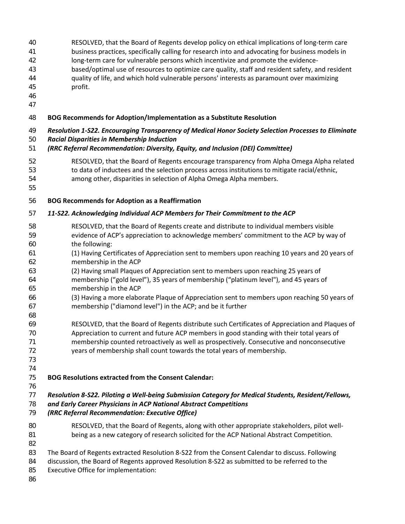- 
- RESOLVED, that the Board of Regents develop policy on ethical implications of long-term care
- business practices, specifically calling for research into and advocating for business models in
- long-term care for vulnerable persons which incentivize and promote the evidence-
- based/optimal use of resources to optimize care quality, staff and resident safety, and resident quality of life, and which hold vulnerable persons' interests as paramount over maximizing
- profit.
- 
- 

#### **BOG Recommends for Adoption/Implementation as a Substitute Resolution**

- *Resolution 1-S22. Encouraging Transparency of Medical Honor Society Selection Processes to Eliminate Racial Disparities in Membership Induction*
- *(RRC Referral Recommendation: Diversity, Equity, and Inclusion (DEI) Committee)*
- RESOLVED, that the Board of Regents encourage transparency from Alpha Omega Alpha related to data of inductees and the selection process across institutions to mitigate racial/ethnic,
- among other, disparities in selection of Alpha Omega Alpha members.
- 

### **BOG Recommends for Adoption as a Reaffirmation**

### *11-S22. Acknowledging Individual ACP Members for Their Commitment to the ACP*

- RESOLVED, that the Board of Regents create and distribute to individual members visible evidence of ACP's appreciation to acknowledge members' commitment to the ACP by way of the following:
- (1) Having Certificates of Appreciation sent to members upon reaching 10 years and 20 years of membership in the ACP
- (2) Having small Plaques of Appreciation sent to members upon reaching 25 years of membership ("gold level"), 35 years of membership ("platinum level"), and 45 years of
- membership in the ACP
- (3) Having a more elaborate Plaque of Appreciation sent to members upon reaching 50 years of membership ("diamond level") in the ACP; and be it further
- RESOLVED, that the Board of Regents distribute such Certificates of Appreciation and Plaques of Appreciation to current and future ACP members in good standing with their total years of membership counted retroactively as well as prospectively. Consecutive and nonconsecutive years of membership shall count towards the total years of membership.
- 

### **BOG Resolutions extracted from the Consent Calendar:**

*Resolution 8-S22. Piloting a Well-being Submission Category for Medical Students, Resident/Fellows,* 

- *and Early Career Physicians in ACP National Abstract Competitions*
- *(RRC Referral Recommendation: Executive Office)*
- RESOLVED, that the Board of Regents, along with other appropriate stakeholders, pilot well-being as a new category of research solicited for the ACP National Abstract Competition.
- 
- The Board of Regents extracted Resolution 8-S22 from the Consent Calendar to discuss. Following
- discussion, the Board of Regents approved Resolution 8-S22 as submitted to be referred to the
- Executive Office for implementation:
-